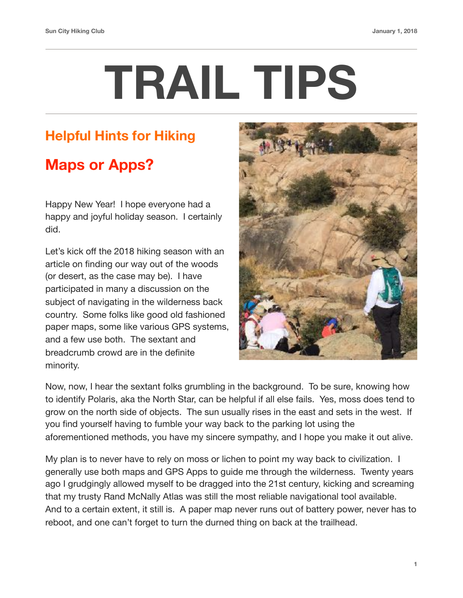## **TRAIL TIPS**

## **Helpful Hints for Hiking**

## **Maps or Apps?**

Happy New Year! I hope everyone had a happy and joyful holiday season. I certainly did.

Let's kick off the 2018 hiking season with an article on finding our way out of the woods (or desert, as the case may be). I have participated in many a discussion on the subject of navigating in the wilderness back country. Some folks like good old fashioned paper maps, some like various GPS systems, and a few use both. The sextant and breadcrumb crowd are in the definite minority.



Now, now, I hear the sextant folks grumbling in the background. To be sure, knowing how to identify Polaris, aka the North Star, can be helpful if all else fails. Yes, moss does tend to grow on the north side of objects. The sun usually rises in the east and sets in the west. If you find yourself having to fumble your way back to the parking lot using the aforementioned methods, you have my sincere sympathy, and I hope you make it out alive.

My plan is to never have to rely on moss or lichen to point my way back to civilization. I generally use both maps and GPS Apps to guide me through the wilderness. Twenty years ago I grudgingly allowed myself to be dragged into the 21st century, kicking and screaming that my trusty Rand McNally Atlas was still the most reliable navigational tool available. And to a certain extent, it still is. A paper map never runs out of battery power, never has to reboot, and one can't forget to turn the durned thing on back at the trailhead.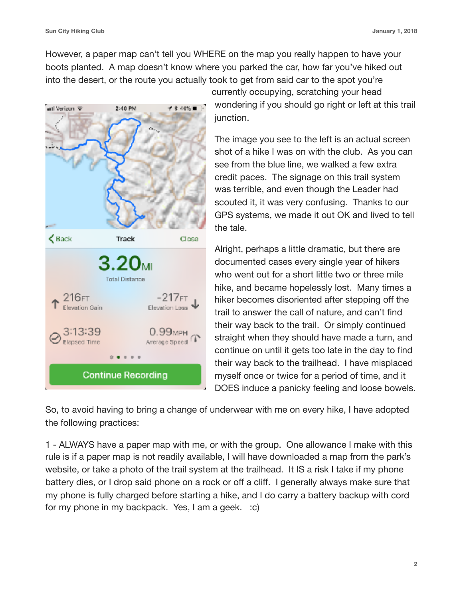However, a paper map can't tell you WHERE on the map you really happen to have your boots planted. A map doesn't know where you parked the car, how far you've hiked out into the desert, or the route you actually took to get from said car to the spot you're



wondering if you should go right or left at this trail junction.

The image you see to the left is an actual screen shot of a hike I was on with the club. As you can see from the blue line, we walked a few extra credit paces. The signage on this trail system was terrible, and even though the Leader had scouted it, it was very confusing. Thanks to our GPS systems, we made it out OK and lived to tell the tale.

Alright, perhaps a little dramatic, but there are documented cases every single year of hikers who went out for a short little two or three mile hike, and became hopelessly lost. Many times a hiker becomes disoriented after stepping off the trail to answer the call of nature, and can't find their way back to the trail. Or simply continued straight when they should have made a turn, and continue on until it gets too late in the day to find their way back to the trailhead. I have misplaced myself once or twice for a period of time, and it DOES induce a panicky feeling and loose bowels.

So, to avoid having to bring a change of underwear with me on every hike, I have adopted the following practices:

1 - ALWAYS have a paper map with me, or with the group. One allowance I make with this rule is if a paper map is not readily available, I will have downloaded a map from the park's website, or take a photo of the trail system at the trailhead. It IS a risk I take if my phone battery dies, or I drop said phone on a rock or off a cliff. I generally always make sure that my phone is fully charged before starting a hike, and I do carry a battery backup with cord for my phone in my backpack. Yes, I am a geek. :c)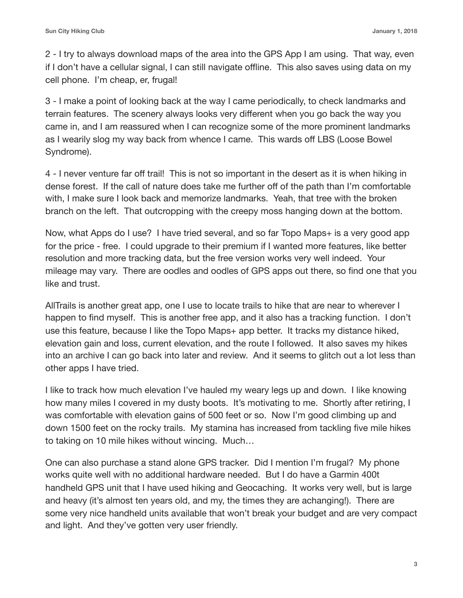2 - I try to always download maps of the area into the GPS App I am using. That way, even if I don't have a cellular signal, I can still navigate offline. This also saves using data on my cell phone. I'm cheap, er, frugal!

3 - I make a point of looking back at the way I came periodically, to check landmarks and terrain features. The scenery always looks very different when you go back the way you came in, and I am reassured when I can recognize some of the more prominent landmarks as I wearily slog my way back from whence I came. This wards off LBS (Loose Bowel Syndrome).

4 - I never venture far off trail! This is not so important in the desert as it is when hiking in dense forest. If the call of nature does take me further off of the path than I'm comfortable with, I make sure I look back and memorize landmarks. Yeah, that tree with the broken branch on the left. That outcropping with the creepy moss hanging down at the bottom.

Now, what Apps do I use? I have tried several, and so far Topo Maps+ is a very good app for the price - free. I could upgrade to their premium if I wanted more features, like better resolution and more tracking data, but the free version works very well indeed. Your mileage may vary. There are oodles and oodles of GPS apps out there, so find one that you like and trust.

AllTrails is another great app, one I use to locate trails to hike that are near to wherever I happen to find myself. This is another free app, and it also has a tracking function. I don't use this feature, because I like the Topo Maps+ app better. It tracks my distance hiked, elevation gain and loss, current elevation, and the route I followed. It also saves my hikes into an archive I can go back into later and review. And it seems to glitch out a lot less than other apps I have tried.

I like to track how much elevation I've hauled my weary legs up and down. I like knowing how many miles I covered in my dusty boots. It's motivating to me. Shortly after retiring, I was comfortable with elevation gains of 500 feet or so. Now I'm good climbing up and down 1500 feet on the rocky trails. My stamina has increased from tackling five mile hikes to taking on 10 mile hikes without wincing. Much…

One can also purchase a stand alone GPS tracker. Did I mention I'm frugal? My phone works quite well with no additional hardware needed. But I do have a Garmin 400t handheld GPS unit that I have used hiking and Geocaching. It works very well, but is large and heavy (it's almost ten years old, and my, the times they are achanging!). There are some very nice handheld units available that won't break your budget and are very compact and light. And they've gotten very user friendly.